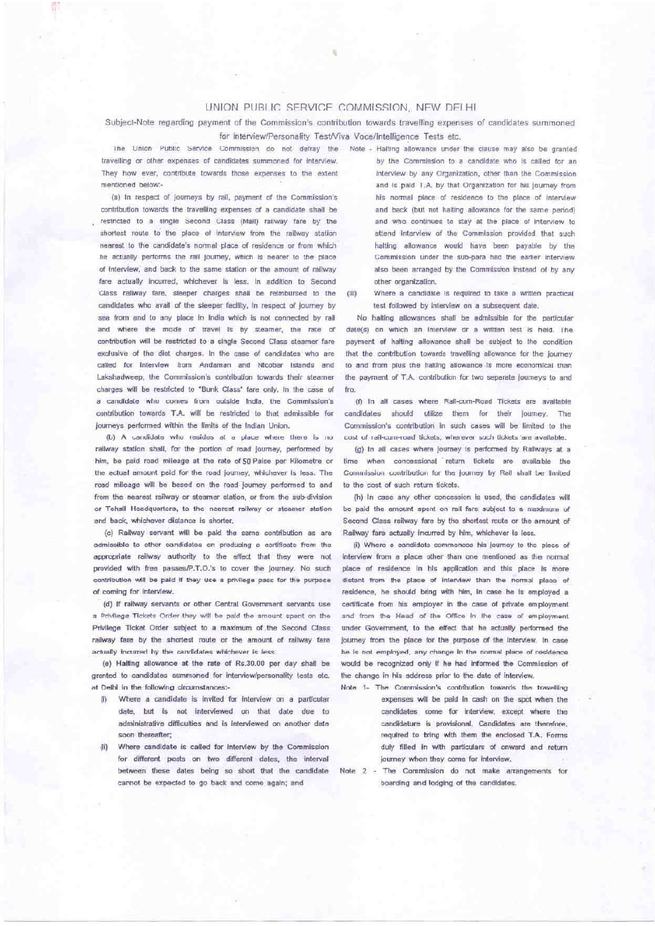## UNION PUBLIC SERVICE COMMISSION, NEW DELHI

Subject-Note regarding payment of the Commission's contribution towards travelling expenses of candidates summoned for interview/Personality Test/Viva Voce/Intelligence Tests etc.

travelling or other expenses of candidates summoned for interview. They how ever, contribute towards those expenses to the extent mentioned below-

(a) In respect of Journeys by rail, payment of the Commission's contribution towards the travelling expenses of a candidate shall be restricted to a single Second Class (Mail) railway fare by the shortest route to the place of interview from the railway station nearest to the candidate's normal place of residence or from which he actually performs the rail journey, which is nearer to the place of interview, and back to the same station or the amount of railway fare actually incurred, whichever is less. In addition to Second Class rallway fare, sleeper charges shall be relmbursed to the candidates who avail of the sleeper facility, in respect of journey by sea from and to any place in India which is not connected by rail and where the mode of travel is by steamer, the rate of contribution will be restricted to a single Second Class steamer fare exclusive of the diet charges. In the case of candidates who are called for interview from Andaman and Nicobar Islands and Lakshadweep, the Commission's contribution towards their steamer charges will be restricted to "Bunk Class" fare only. In the case of a candidate who comes from outside India, the Commission's contribution towards T.A. will be restricted to that admissible for journeys performed within the limits of the Indian Union.

(b) A candidate who resides at a place where there is no railway station shall, for the portion of road journey, performed by him, be paid road mileage at the rate of 50 Paise per Kilometre or the actual amount paid for the road journey, whichever is less. The road mileage will be based on the road journey performed to and from the nearest railway or steamer station, or from the sub-division or Tehsil Headquarters, to the nearest railway or steamer station and back, whichever distance is shorter.

(c) Railway servant will be paid the same contribution as are admissible to other candidates on producing a certificate from the appropriate railway authority to the effect that they were not provided with free passes/P.T.O.'s to cover the journey. No such contribution will be paid if they use a privilege pass for the purpose of coming for interview.

(d) If railway servants or other Central Government servants use a Privilege Tickets Order they will be paid the amount spent on the Privilege Ticket Order subject to a maximum of the Second Class railway fare by the shortest route or the amount of railway fare actually incurred by the candidates whichever is less

(e) Halting allowance at the rate of Rs.30.00 per day shall be granted to candidates summoned for interview/personality tests etc. at Delhi in the following circumstances:-

- Where a candidate is invited for interview on a particular 79. date, but is not interviewed on that date due to administrative difficulties and is interviewed on another date soon thereafter:
- Where candidate is called for interview by the Commission for different posts on two different dates, the interval between these dates being so short that the candidate cannot be expected to go back and come again; and

The Union Public Service Commission do not defray the Note - Halting allowance under the clause may also be granted by the Commission to a candidate who is called for an interview by any Organization, other than the Commission and is paid T.A. by that Organization for his journey from his normal place of residence to the place of interview and back (but not halting allowance for the same period) and who continues to stay at the place of interview to attend interview of the Commission provided that such halting allowance would have been payable by the Commission under the sub-para had the earlier interview also been arranged by the Commission instead of by any other organization.

> $\alpha$ Where a candidate is required to take a written practical test followed by interview on a subsequent date.

> No halting allowances shall be admissible for the particular date(s) on which an interview or a written test is held. The payment of halting allowance shall be subject to the condition that the contribution towards travelling allowance for the journey to and from plus the halting allowance is more economical than the payment of T.A. contribution for two separate journeys to and fro.

> (f) In all cases where Rail-cum-Road Tickets are available candidates should utilize them for their journey. The Commission's contribution in such cases will be limited to the cost of rail-cum-road tickets, wherever such tickets are available.

> (d) In all cases where journey is performed by Railways at a time when concessional return tickets are available the Commission contribution for the journey by Rall shall be limited to the cost of such return tickets.

> (h) In case any other concession is used, the candidates will be paid the amount spent on rall fare subject to a maximum of Second Class railway fare by the shortest route or the amount of Railway fare actually incurred by him, whichever is less.

> (i) Where a candidate commences his lourney to the place of Interview from a place other than one mentioned as the normal place of residence in his application and this place is more distant from the place of interview than the normal place of residence, he should bring with him, in case he is employed a certificate from his employer in the case of private employment and from the Head of the Office in the case of employment under Government, to the effect that he actually performed the Journey from the place for the purpose of the interview. In case he is not employed, any change in the normal place of residence would be recognized only if he had informed the Commission of the change in his address prior to the date of interview.

- Note 1- The Commission's contribution towards the travelling expenses will be paid in cash on the sont when the candidates come for interview, except where the candidature is provisional, Candidates are therefore, required to bring with them the enclosed T.A. Forms duly filled in with particulars of onward and return journey when they come for interview.
- Note 2 The Commission do not make arrangements for boarding and todging of the candidates.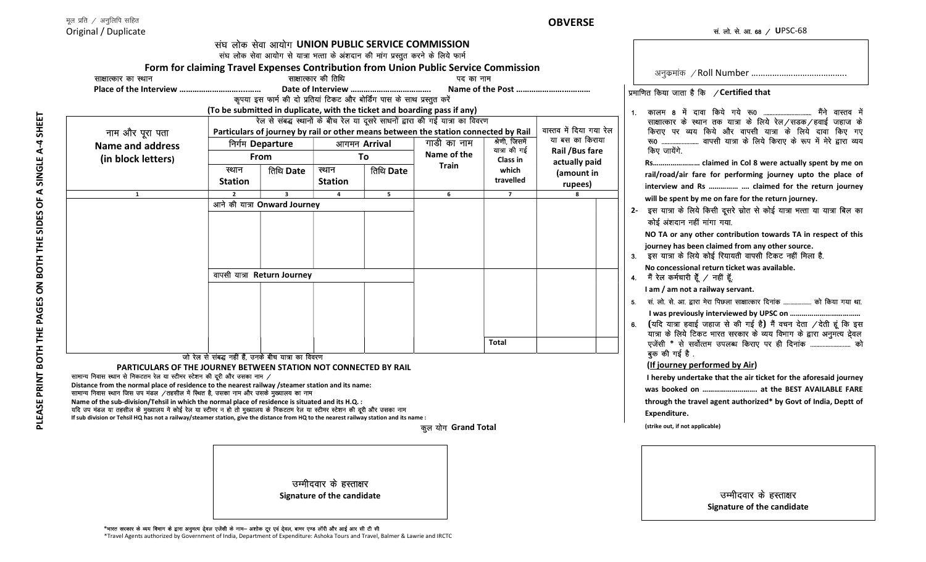## **OBVERSE**

| Original / Duplicate                                                                                                                                                                       |                                                                                     |                                                                                 |                     |           |                                                                                                  |                                |                                    | सं. लो. से. आ. 68 / UPSC-68                                                                                                       |
|--------------------------------------------------------------------------------------------------------------------------------------------------------------------------------------------|-------------------------------------------------------------------------------------|---------------------------------------------------------------------------------|---------------------|-----------|--------------------------------------------------------------------------------------------------|--------------------------------|------------------------------------|-----------------------------------------------------------------------------------------------------------------------------------|
|                                                                                                                                                                                            |                                                                                     |                                                                                 |                     |           | संघ लोक सेवा आयोग UNION PUBLIC SERVICE COMMISSION                                                |                                |                                    |                                                                                                                                   |
|                                                                                                                                                                                            |                                                                                     | संघ लोक सेवा आयोग से यात्रा भत्ता के अंशदान की मांग प्रस्तुत करने के लिये फार्म |                     |           |                                                                                                  |                                |                                    |                                                                                                                                   |
|                                                                                                                                                                                            |                                                                                     |                                                                                 | साक्षात्कार की तिथि |           | Form for claiming Travel Expenses Contribution from Union Public Service Commission<br>पद का नाम |                                |                                    |                                                                                                                                   |
| साक्षात्कार का स्थान                                                                                                                                                                       |                                                                                     |                                                                                 |                     |           |                                                                                                  |                                |                                    |                                                                                                                                   |
|                                                                                                                                                                                            |                                                                                     | कृपया इस फार्म की दो प्रतियां टिकट और बोर्डिंग पास के साथ प्रस्तुत करें         |                     |           |                                                                                                  |                                |                                    | प्रमाणित किया जाता है कि / Certified that                                                                                         |
|                                                                                                                                                                                            |                                                                                     |                                                                                 |                     |           | (To be submitted in duplicate, with the ticket and boarding pass if any)                         |                                |                                    | कालम 8 में दावा किये गये रू0  मैंने वास्तव में                                                                                    |
|                                                                                                                                                                                            |                                                                                     |                                                                                 |                     |           | रेल से संबद्ध स्थानों के बीच रेल या दूसरे साधनों द्वारा की गई यात्रा का विवरण                    |                                |                                    | साक्षात्कार के स्थान तक यात्रा के लिये रेल/सडक/हवाई जहाज के                                                                       |
| नाम और पूरा पता                                                                                                                                                                            | Particulars of journey by rail or other means between the station connected by Rail |                                                                                 |                     |           | वास्तव में दिया गया रेल                                                                          |                                |                                    | किराए पर व्यय किये और वापसी यात्रा के लिये दावा किए गए                                                                            |
| <b>Name and address</b>                                                                                                                                                                    |                                                                                     | निर्गम Departure                                                                | आगमन Arrival        |           | गाडी का नाम                                                                                      | श्रेणी, जिसमें<br>यात्रा की गई | या बस का किराया<br>Rail / Bus fare | रू0  वापसी यात्रा के लिये किराए के रूप में मेरे द्वारा व्यय<br>किए जायेंगे.                                                       |
| (in block letters)                                                                                                                                                                         | From                                                                                |                                                                                 | To                  |           | Name of the                                                                                      | <b>Class in</b>                | actually paid                      |                                                                                                                                   |
|                                                                                                                                                                                            | स्थान                                                                               | तिथि Date                                                                       | स्थान               | तिथि Date | <b>Train</b>                                                                                     | which                          | (amount in                         | rail/road/air fare for performing journey upto the place of                                                                       |
|                                                                                                                                                                                            | Station                                                                             |                                                                                 | <b>Station</b>      |           |                                                                                                  | travelled                      | rupees)                            | interview and Rs   claimed for the return journey                                                                                 |
| $\mathbf{1}$                                                                                                                                                                               | $\overline{2}$                                                                      | $\overline{\mathbf{3}}$                                                         | $\overline{a}$      | 5         | 6                                                                                                | $\overline{7}$                 | $\mathbf{R}$                       |                                                                                                                                   |
|                                                                                                                                                                                            | आने की यात्रा Onward Journey                                                        |                                                                                 |                     |           |                                                                                                  |                                |                                    | will be spent by me on fare for the return journey.<br>2- इस यात्रा के लिये किसी दूसरे स्रोत से कोई यात्रा भत्ता या यात्रा बिल का |
|                                                                                                                                                                                            |                                                                                     |                                                                                 |                     |           |                                                                                                  |                                |                                    | कोई अंशदान नहीं मांगा गया.                                                                                                        |
|                                                                                                                                                                                            |                                                                                     |                                                                                 |                     |           |                                                                                                  |                                |                                    | NO TA or any other contribution towards TA in respect of this                                                                     |
|                                                                                                                                                                                            |                                                                                     |                                                                                 |                     |           |                                                                                                  |                                |                                    | journey has been claimed from any other source.                                                                                   |
|                                                                                                                                                                                            |                                                                                     |                                                                                 |                     |           |                                                                                                  |                                |                                    | 3. इस यात्रा के लिये कोई रियायती वापसी टिकट नहीं मिला है.                                                                         |
|                                                                                                                                                                                            |                                                                                     | वापसी यात्रा Return Journey                                                     |                     |           |                                                                                                  |                                |                                    | No concessional return ticket was available.<br>4. मैं रेल कर्मचारी हूँ / नहीं हूँ.                                               |
|                                                                                                                                                                                            |                                                                                     |                                                                                 |                     |           |                                                                                                  |                                |                                    | I am / am not a railway servant.                                                                                                  |
|                                                                                                                                                                                            |                                                                                     |                                                                                 |                     |           |                                                                                                  |                                |                                    | सं. लो. से. आ. द्वारा मेरा पिछला साक्षात्कार दिनांक  को किया गया था.                                                              |
|                                                                                                                                                                                            |                                                                                     |                                                                                 |                     |           |                                                                                                  |                                |                                    |                                                                                                                                   |
|                                                                                                                                                                                            |                                                                                     |                                                                                 |                     |           |                                                                                                  |                                |                                    | 6. (यदि यात्रा हवाई जहाज से की गई है) मैं वचन देता / देती हूं कि इस                                                               |
|                                                                                                                                                                                            |                                                                                     |                                                                                 |                     |           |                                                                                                  | <b>Total</b>                   |                                    | यात्रा के लिये टिकट भारत सरकार के व्यय विभाग के द्वारा अनुमत्य देवल<br>एजेंसी * से सर्वोत्तम उपलब्ध किराए पर ही दिनांक  को        |
|                                                                                                                                                                                            |                                                                                     |                                                                                 |                     |           |                                                                                                  |                                |                                    | बुक की गई है.                                                                                                                     |
| PARTICULARS OF THE JOURNEY BETWEEN STATION NOT CONNECTED BY RAIL                                                                                                                           | जो रेल से संबद्ध नहीं हैं, उनके बीच यात्रा का विवरण                                 |                                                                                 |                     |           |                                                                                                  |                                |                                    | (If journey performed by Air)                                                                                                     |
| सामान्य निवास स्थान से निकटतम रेल या स्टीमर स्टेशन की दूरी और उसका नाम /                                                                                                                   |                                                                                     |                                                                                 |                     |           |                                                                                                  |                                |                                    | I hereby undertake that the air ticket for the aforesaid journey                                                                  |
| Distance from the normal place of residence to the nearest railway /steamer station and its name:<br>सामान्य निवास स्थान जिस उप मंडल /तहसील में स्थित है, उसका नाम और उसके मुख्यालय का नाम |                                                                                     |                                                                                 |                     |           |                                                                                                  |                                |                                    | was booked on  at the BEST AVAILABLE FARE                                                                                         |
| Name of the sub-division/Tehsil in which the normal place of residence is situated and its H.Q. :                                                                                          |                                                                                     |                                                                                 |                     |           |                                                                                                  |                                |                                    | through the travel agent authorized* by Govt of India, Deptt of                                                                   |
| यदि उप मंडल या तहसील के मुख्यालय में कोई रेल या स्टीमर न हो तो मुख्यालय के निकटतम रेल या स्टीमर स्टेशन की दूरी और उसका नाम                                                                 |                                                                                     |                                                                                 |                     |           |                                                                                                  |                                |                                    | Expenditure.                                                                                                                      |
| If sub division or Tehsil HQ has not a railway/steamer station, give the distance from HQ to the nearest railway station and its name :                                                    |                                                                                     |                                                                                 |                     |           | कूल योग Grand Total                                                                              |                                |                                    | (strike out, if not applicable)                                                                                                   |
|                                                                                                                                                                                            |                                                                                     |                                                                                 |                     |           |                                                                                                  |                                |                                    |                                                                                                                                   |
|                                                                                                                                                                                            |                                                                                     |                                                                                 |                     |           |                                                                                                  |                                |                                    |                                                                                                                                   |
|                                                                                                                                                                                            |                                                                                     |                                                                                 |                     |           |                                                                                                  |                                |                                    |                                                                                                                                   |
|                                                                                                                                                                                            | उम्मीदवार के हस्ताक्षर                                                              |                                                                                 |                     |           |                                                                                                  |                                |                                    |                                                                                                                                   |
| Signature of the candidate                                                                                                                                                                 |                                                                                     |                                                                                 |                     |           |                                                                                                  |                                |                                    | उम्मीदवार के हस्ताक्षर                                                                                                            |
|                                                                                                                                                                                            |                                                                                     |                                                                                 |                     |           |                                                                                                  |                                |                                    | Signature of the candidate                                                                                                        |

\*भारत सरकार के व्यय विभाग के द्वारा अनुमत्य देवल एजेंसी के नाम– अशोक टूर एवं देवल, बामर एण्ड लॉरी और आई आर सी टी सी

\*Travel Agents authorized by Government of India, Department of Expenditure: Ashoka Tours and Travel, Balmer & Lawrie and IRCTC